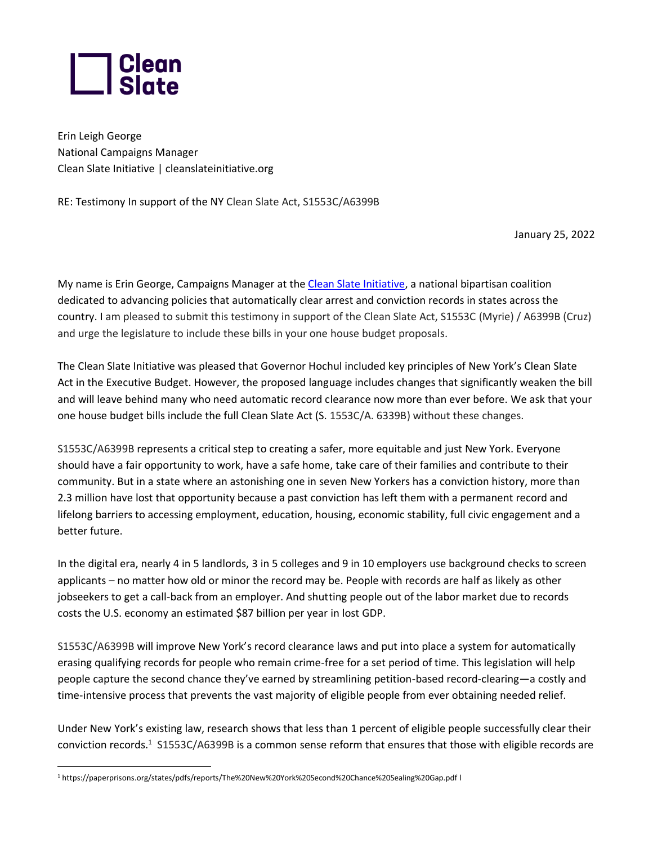

Erin Leigh George National Campaigns Manager Clean Slate Initiative | cleanslateinitiative.org

RE: Testimony In support of the NY Clean Slate Act, S1553C/A6399B

January 25, 2022

My name is Erin George, Campaigns Manager at th[e Clean Slate Initiative,](http://cleanslateinitiative.org/) a national bipartisan coalition dedicated to advancing policies that automatically clear arrest and conviction records in states across the country. I am pleased to submit this testimony in support of the Clean Slate Act, S1553C (Myrie) / A6399B (Cruz) and urge the legislature to include these bills in your one house budget proposals.

The Clean Slate Initiative was pleased that Governor Hochul included key principles of New York's Clean Slate Act in the Executive Budget. However, the proposed language includes changes that significantly weaken the bill and will leave behind many who need automatic record clearance now more than ever before. We ask that your one house budget bills include the full Clean Slate Act (S. 1553C/A. 6339B) without these changes.

S1553C/A6399B represents a critical step to creating a safer, more equitable and just New York. Everyone should have a fair opportunity to work, have a safe home, take care of their families and contribute to their community. But in a state where an astonishing one in seven New Yorkers has a conviction history, more than 2.3 million have lost that opportunity because a past conviction has left them with a permanent record and lifelong barriers to accessing employment, education, housing, economic stability, full civic engagement and a better future.

In the digital era, nearly 4 in 5 landlords, 3 in 5 colleges and 9 in 10 employers use background checks to screen applicants – no matter how old or minor the record may be. People with records are half as likely as other jobseekers to get a call-back from an employer. And shutting people out of the labor market due to records costs the U.S. economy an estimated \$87 billion per year in lost GDP.

S1553C/A6399B will improve New York's record clearance laws and put into place a system for automatically erasing qualifying records for people who remain crime-free for a set period of time. This legislation will help people capture the second chance they've earned by streamlining petition-based record-clearing—a costly and time-intensive process that prevents the vast majority of eligible people from ever obtaining needed relief.

Under New York's existing law, research shows that less than 1 percent of eligible people successfully clear their conviction records.<sup>1</sup> S1553C/A6399B is a common sense reform that ensures that those with eligible records are

<sup>1</sup> https://paperprisons.org/states/pdfs/reports/The%20New%20York%20Second%20Chance%20Sealing%20Gap.pdf l